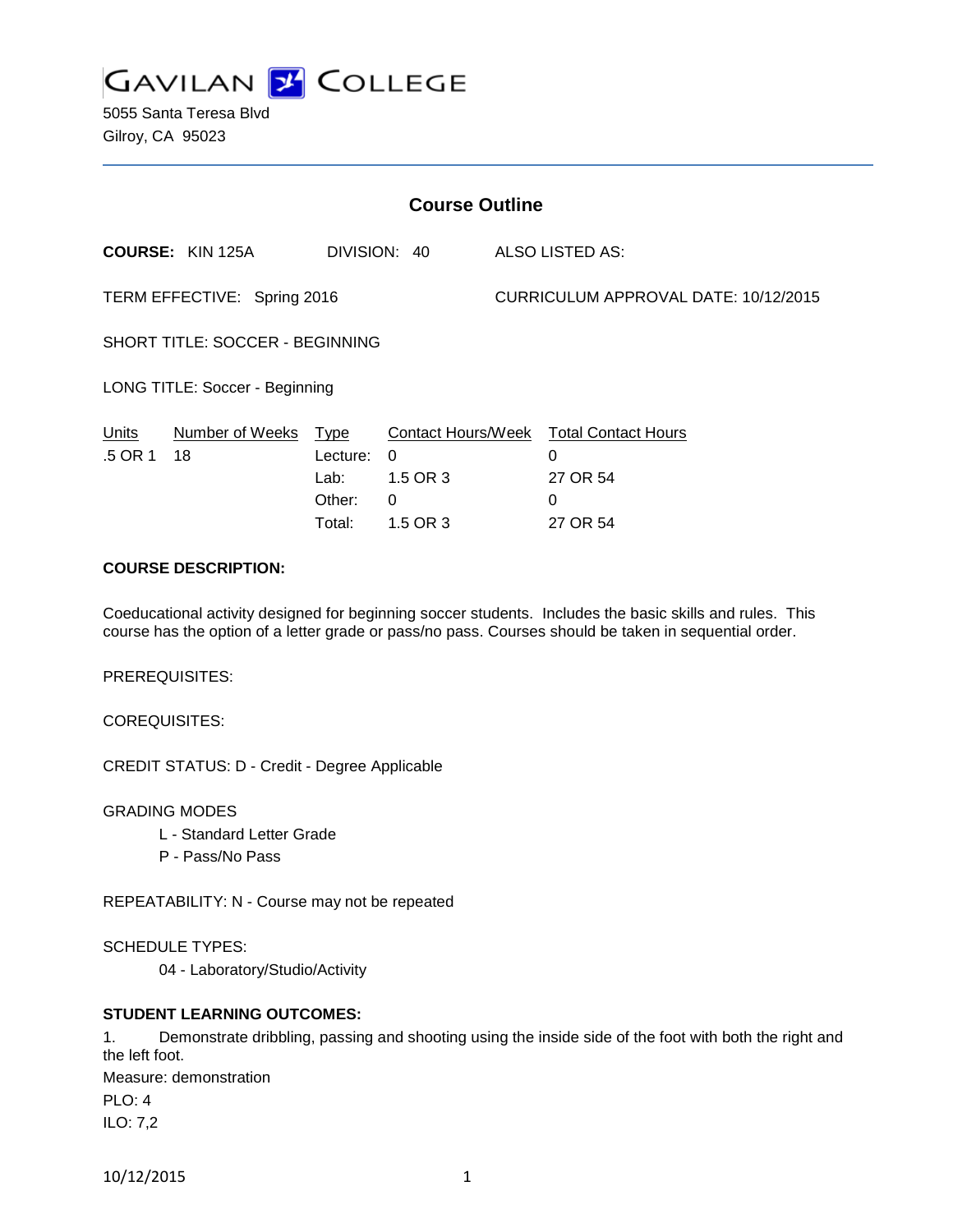

5055 Santa Teresa Blvd Gilroy, CA 95023

| <b>Course Outline</b>           |                         |                                                     |                                                             |                                      |                                                              |
|---------------------------------|-------------------------|-----------------------------------------------------|-------------------------------------------------------------|--------------------------------------|--------------------------------------------------------------|
|                                 | <b>COURSE: KIN 125A</b> |                                                     | DIVISION: 40                                                |                                      | ALSO LISTED AS:                                              |
| TERM EFFECTIVE: Spring 2016     |                         |                                                     |                                                             | CURRICULUM APPROVAL DATE: 10/12/2015 |                                                              |
| SHORT TITLE: SOCCER - BEGINNING |                         |                                                     |                                                             |                                      |                                                              |
| LONG TITLE: Soccer - Beginning  |                         |                                                     |                                                             |                                      |                                                              |
| <b>Units</b><br>.5 OR 1         | Number of Weeks<br>18   | <u>Type</u><br>Lecture:<br>Lab:<br>Other:<br>Total: | <b>Contact Hours/Week</b><br>0<br>1.5 OR 3<br>0<br>1.5 OR 3 |                                      | <b>Total Contact Hours</b><br>0<br>27 OR 54<br>0<br>27 OR 54 |

## **COURSE DESCRIPTION:**

Coeducational activity designed for beginning soccer students. Includes the basic skills and rules. This course has the option of a letter grade or pass/no pass. Courses should be taken in sequential order.

PREREQUISITES:

COREQUISITES:

CREDIT STATUS: D - Credit - Degree Applicable

GRADING MODES

- L Standard Letter Grade
- P Pass/No Pass

REPEATABILITY: N - Course may not be repeated

SCHEDULE TYPES:

04 - Laboratory/Studio/Activity

## **STUDENT LEARNING OUTCOMES:**

1. Demonstrate dribbling, passing and shooting using the inside side of the foot with both the right and the left foot.

Measure: demonstration PLO: 4 ILO: 7,2

```
10/12/2015 1
```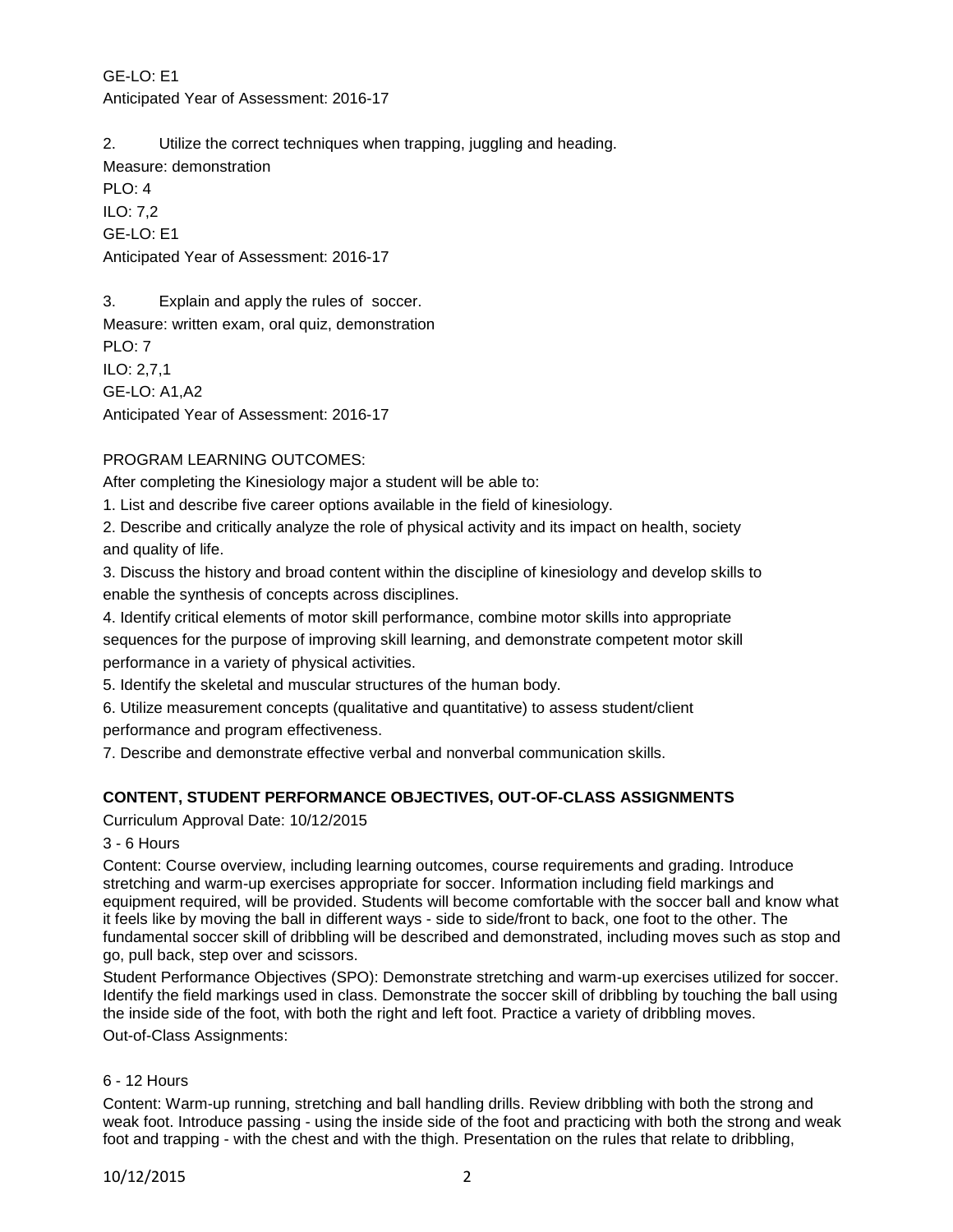GE-LO: E1 Anticipated Year of Assessment: 2016-17

2. Utilize the correct techniques when trapping, juggling and heading.

Measure: demonstration

PLO: 4 ILO: 7,2 GE-LO: E1 Anticipated Year of Assessment: 2016-17

3. Explain and apply the rules of soccer. Measure: written exam, oral quiz, demonstration PLO: 7 ILO: 2,7,1 GE-LO: A1,A2 Anticipated Year of Assessment: 2016-17

# PROGRAM LEARNING OUTCOMES:

After completing the Kinesiology major a student will be able to:

1. List and describe five career options available in the field of kinesiology.

2. Describe and critically analyze the role of physical activity and its impact on health, society and quality of life.

3. Discuss the history and broad content within the discipline of kinesiology and develop skills to enable the synthesis of concepts across disciplines.

4. Identify critical elements of motor skill performance, combine motor skills into appropriate sequences for the purpose of improving skill learning, and demonstrate competent motor skill performance in a variety of physical activities.

5. Identify the skeletal and muscular structures of the human body.

6. Utilize measurement concepts (qualitative and quantitative) to assess student/client

performance and program effectiveness.

7. Describe and demonstrate effective verbal and nonverbal communication skills.

## **CONTENT, STUDENT PERFORMANCE OBJECTIVES, OUT-OF-CLASS ASSIGNMENTS**

Curriculum Approval Date: 10/12/2015

## 3 - 6 Hours

Content: Course overview, including learning outcomes, course requirements and grading. Introduce stretching and warm-up exercises appropriate for soccer. Information including field markings and equipment required, will be provided. Students will become comfortable with the soccer ball and know what it feels like by moving the ball in different ways - side to side/front to back, one foot to the other. The fundamental soccer skill of dribbling will be described and demonstrated, including moves such as stop and go, pull back, step over and scissors.

Student Performance Objectives (SPO): Demonstrate stretching and warm-up exercises utilized for soccer. Identify the field markings used in class. Demonstrate the soccer skill of dribbling by touching the ball using the inside side of the foot, with both the right and left foot. Practice a variety of dribbling moves.

Out-of-Class Assignments:

## 6 - 12 Hours

Content: Warm-up running, stretching and ball handling drills. Review dribbling with both the strong and weak foot. Introduce passing - using the inside side of the foot and practicing with both the strong and weak foot and trapping - with the chest and with the thigh. Presentation on the rules that relate to dribbling,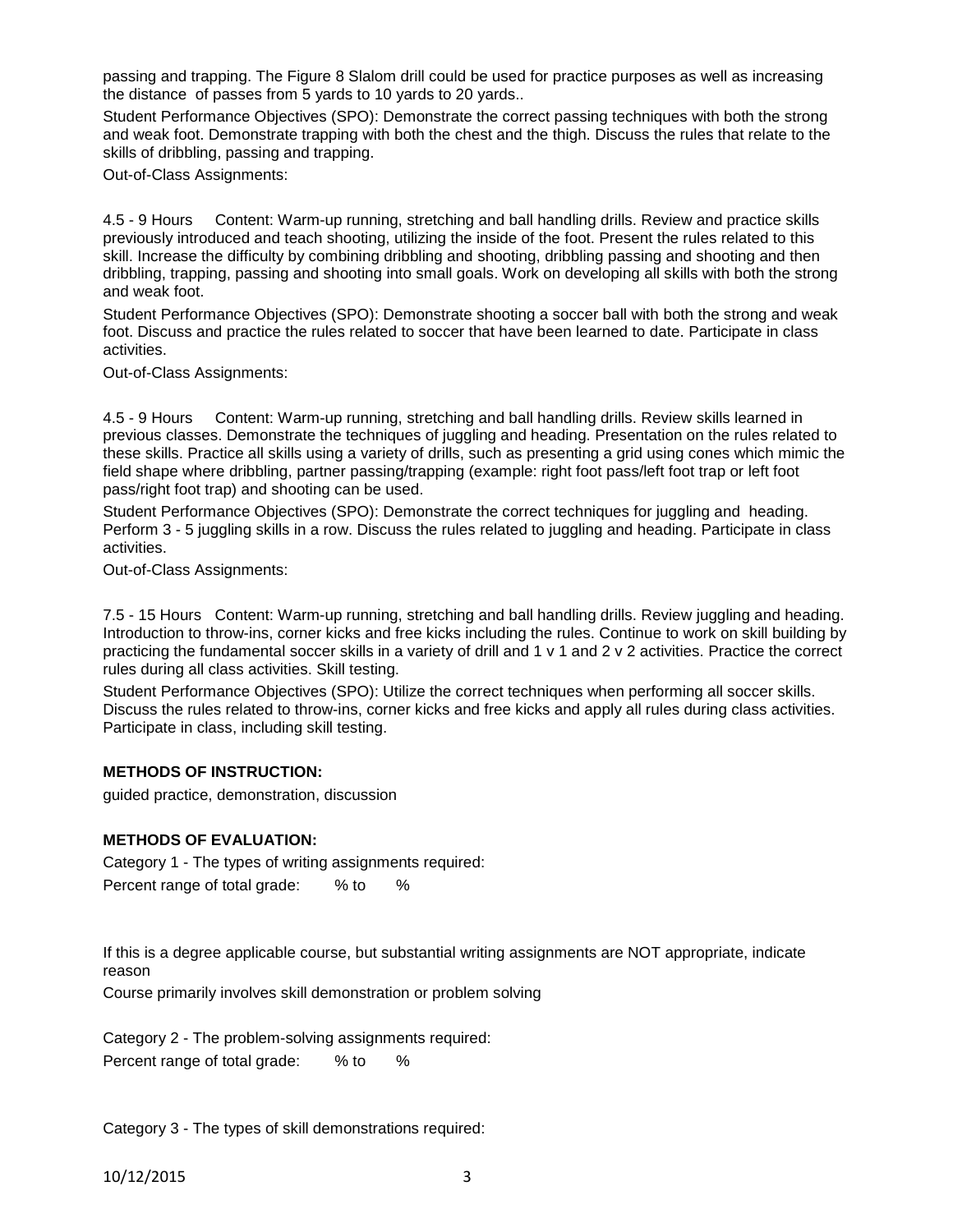passing and trapping. The Figure 8 Slalom drill could be used for practice purposes as well as increasing the distance of passes from 5 yards to 10 yards to 20 yards..

Student Performance Objectives (SPO): Demonstrate the correct passing techniques with both the strong and weak foot. Demonstrate trapping with both the chest and the thigh. Discuss the rules that relate to the skills of dribbling, passing and trapping.

Out-of-Class Assignments:

4.5 - 9 Hours Content: Warm-up running, stretching and ball handling drills. Review and practice skills previously introduced and teach shooting, utilizing the inside of the foot. Present the rules related to this skill. Increase the difficulty by combining dribbling and shooting, dribbling passing and shooting and then dribbling, trapping, passing and shooting into small goals. Work on developing all skills with both the strong and weak foot.

Student Performance Objectives (SPO): Demonstrate shooting a soccer ball with both the strong and weak foot. Discuss and practice the rules related to soccer that have been learned to date. Participate in class activities.

Out-of-Class Assignments:

4.5 - 9 Hours Content: Warm-up running, stretching and ball handling drills. Review skills learned in previous classes. Demonstrate the techniques of juggling and heading. Presentation on the rules related to these skills. Practice all skills using a variety of drills, such as presenting a grid using cones which mimic the field shape where dribbling, partner passing/trapping (example: right foot pass/left foot trap or left foot pass/right foot trap) and shooting can be used.

Student Performance Objectives (SPO): Demonstrate the correct techniques for juggling and heading. Perform 3 - 5 juggling skills in a row. Discuss the rules related to juggling and heading. Participate in class activities.

Out-of-Class Assignments:

7.5 - 15 Hours Content: Warm-up running, stretching and ball handling drills. Review juggling and heading. Introduction to throw-ins, corner kicks and free kicks including the rules. Continue to work on skill building by practicing the fundamental soccer skills in a variety of drill and 1 v 1 and 2 v 2 activities. Practice the correct rules during all class activities. Skill testing.

Student Performance Objectives (SPO): Utilize the correct techniques when performing all soccer skills. Discuss the rules related to throw-ins, corner kicks and free kicks and apply all rules during class activities. Participate in class, including skill testing.

#### **METHODS OF INSTRUCTION:**

guided practice, demonstration, discussion

#### **METHODS OF EVALUATION:**

Category 1 - The types of writing assignments required: Percent range of total grade: % to %

If this is a degree applicable course, but substantial writing assignments are NOT appropriate, indicate reason

Course primarily involves skill demonstration or problem solving

Category 2 - The problem-solving assignments required: Percent range of total grade: % to %

Category 3 - The types of skill demonstrations required: